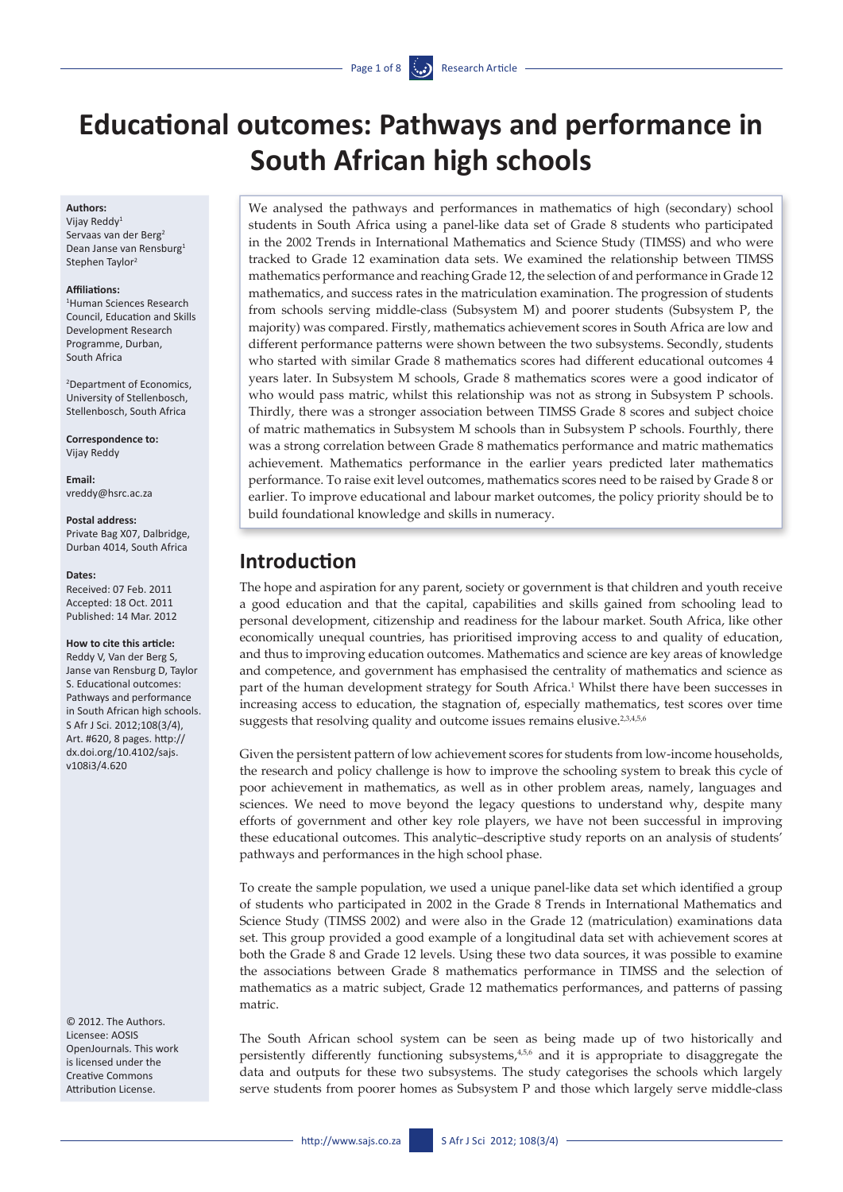# **Educational outcomes: Pathways and performance in South African high schools**

#### **Authors:**

Vijay Reddy1 Servaas van der Berg<sup>2</sup> Dean Janse van Rensburg1 Stephen Taylor2

#### **Affiliations:**

1 Human Sciences Research Council, Education and Skills Development Research Programme, Durban, South Africa

2 Department of Economics, University of Stellenbosch, Stellenbosch, South Africa

**Correspondence to:**  Vijay Reddy

**Email:**  <vreddy@hsrc.ac.za>

#### **Postal address:**

Private Bag X07, Dalbridge, Durban 4014, South Africa

#### **Dates:**

Received: 07 Feb. 2011 Accepted: 18 Oct. 2011 Published: 14 Mar. 2012

#### **How to cite this article:**

Reddy V, Van der Berg S, Janse van Rensburg D, Taylor S. Educational outcomes: Pathways and performance in South African high schools. S Afr J Sci. 2012;108(3/4), Art. #620, 8 pages. [http://](http://dx.doi.org/10.4102/sajs.v108i3/4.620) [dx.doi.org/10.4102/sajs.](http://dx.doi.org/10.4102/sajs.v108i3/4.620) [v108i3/4.620](http://dx.doi.org/10.4102/sajs.v108i3/4.620)

© 2012. The Authors. Licensee: AOSIS OpenJournals. This work is licensed under the Creative Commons Attribution License.

We analysed the pathways and performances in mathematics of high (secondary) school students in South Africa using a panel-like data set of Grade 8 students who participated in the 2002 Trends in International Mathematics and Science Study (TIMSS) and who were tracked to Grade 12 examination data sets. We examined the relationship between TIMSS mathematics performance and reaching Grade 12, the selection of and performance in Grade 12 mathematics, and success rates in the matriculation examination. The progression of students from schools serving middle-class (Subsystem M) and poorer students (Subsystem P, the majority) was compared. Firstly, mathematics achievement scores in South Africa are low and different performance patterns were shown between the two subsystems. Secondly, students who started with similar Grade 8 mathematics scores had different educational outcomes 4 years later. In Subsystem M schools, Grade 8 mathematics scores were a good indicator of who would pass matric, whilst this relationship was not as strong in Subsystem P schools. Thirdly, there was a stronger association between TIMSS Grade 8 scores and subject choice of matric mathematics in Subsystem M schools than in Subsystem P schools. Fourthly, there was a strong correlation between Grade 8 mathematics performance and matric mathematics achievement. Mathematics performance in the earlier years predicted later mathematics performance. To raise exit level outcomes, mathematics scores need to be raised by Grade 8 or earlier. To improve educational and labour market outcomes, the policy priority should be to build foundational knowledge and skills in numeracy.

# **Introduction**

The hope and aspiration for any parent, society or government is that children and youth receive a good education and that the capital, capabilities and skills gained from schooling lead to personal development, citizenship and readiness for the labour market. South Africa, like other economically unequal countries, has prioritised improving access to and quality of education, and thus to improving education outcomes. Mathematics and science are key areas of knowledge and competence, and government has emphasised the centrality of mathematics and science as part of the human development strategy for South Africa.<sup>1</sup> Whilst there have been successes in increasing access to education, the stagnation of, especially mathematics, test scores over time suggests that resolving quality and outcome issues remains elusive.<sup>2,3,4,5,6</sup>

Given the persistent pattern of low achievement scores for students from low-income households, the research and policy challenge is how to improve the schooling system to break this cycle of poor achievement in mathematics, as well as in other problem areas, namely, languages and sciences. We need to move beyond the legacy questions to understand why, despite many efforts of government and other key role players, we have not been successful in improving these educational outcomes. This analytic–descriptive study reports on an analysis of students' pathways and performances in the high school phase.

To create the sample population, we used a unique panel-like data set which identified a group of students who participated in 2002 in the Grade 8 Trends in International Mathematics and Science Study (TIMSS 2002) and were also in the Grade 12 (matriculation) examinations data set. This group provided a good example of a longitudinal data set with achievement scores at both the Grade 8 and Grade 12 levels. Using these two data sources, it was possible to examine the associations between Grade 8 mathematics performance in TIMSS and the selection of mathematics as a matric subject, Grade 12 mathematics performances, and patterns of passing matric.

The South African school system can be seen as being made up of two historically and persistently differently functioning subsystems,4,5,6 and it is appropriate to disaggregate the data and outputs for these two subsystems. The study categorises the schools which largely serve students from poorer homes as Subsystem P and those which largely serve middle-class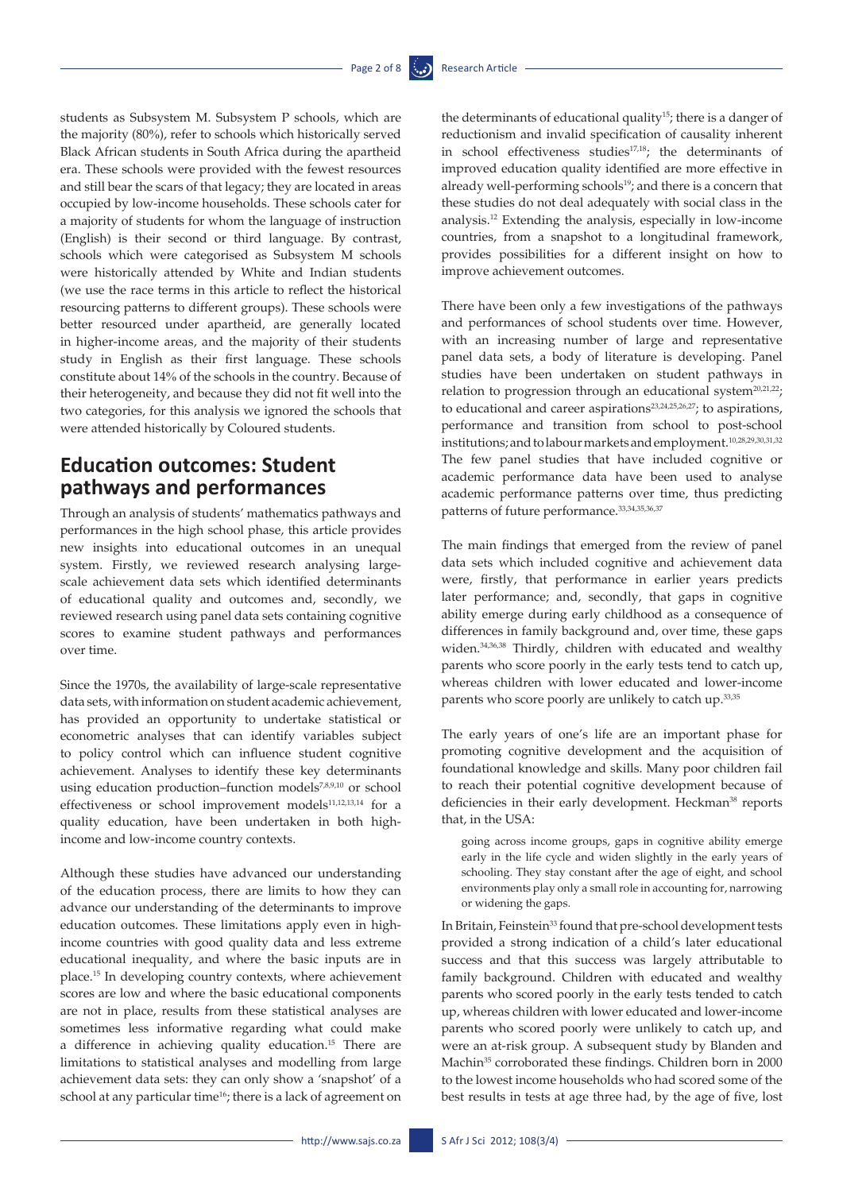students as Subsystem M. Subsystem P schools, which are the majority (80%), refer to schools which historically served Black African students in South Africa during the apartheid era. These schools were provided with the fewest resources and still bear the scars of that legacy; they are located in areas occupied by low-income households. These schools cater for a majority of students for whom the language of instruction (English) is their second or third language. By contrast, schools which were categorised as Subsystem M schools were historically attended by White and Indian students (we use the race terms in this article to reflect the historical resourcing patterns to different groups). These schools were better resourced under apartheid, are generally located in higher-income areas, and the majority of their students study in English as their first language. These schools constitute about 14% of the schools in the country. Because of their heterogeneity, and because they did not fit well into the two categories, for this analysis we ignored the schools that were attended historically by Coloured students.

# **Education outcomes: Student pathways and performances**

Through an analysis of students' mathematics pathways and performances in the high school phase, this article provides new insights into educational outcomes in an unequal system. Firstly, we reviewed research analysing largescale achievement data sets which identified determinants of educational quality and outcomes and, secondly, we reviewed research using panel data sets containing cognitive scores to examine student pathways and performances over time.

Since the 1970s, the availability of large-scale representative data sets, with information on student academic achievement, has provided an opportunity to undertake statistical or econometric analyses that can identify variables subject to policy control which can influence student cognitive achievement. Analyses to identify these key determinants using education production–function models<sup>7,8,9,10</sup> or school effectiveness or school improvement models<sup>11,12,13,14</sup> for a quality education, have been undertaken in both highincome and low-income country contexts.

Although these studies have advanced our understanding of the education process, there are limits to how they can advance our understanding of the determinants to improve education outcomes. These limitations apply even in highincome countries with good quality data and less extreme educational inequality, and where the basic inputs are in place.15 In developing country contexts, where achievement scores are low and where the basic educational components are not in place, results from these statistical analyses are sometimes less informative regarding what could make a difference in achieving quality education.15 There are limitations to statistical analyses and modelling from large achievement data sets: they can only show a 'snapshot' of a school at any particular time<sup>16</sup>; there is a lack of agreement on

the determinants of educational quality<sup>15</sup>; there is a danger of reductionism and invalid specification of causality inherent in school effectiveness studies<sup>17,18</sup>; the determinants of improved education quality identified are more effective in already well-performing schools $19$ ; and there is a concern that these studies do not deal adequately with social class in the analysis.12 Extending the analysis, especially in low-income countries, from a snapshot to a longitudinal framework, provides possibilities for a different insight on how to improve achievement outcomes.

There have been only a few investigations of the pathways and performances of school students over time. However, with an increasing number of large and representative panel data sets, a body of literature is developing. Panel studies have been undertaken on student pathways in relation to progression through an educational system<sup>20,21,22</sup>; to educational and career aspirations<sup>23,24,25,26,27</sup>; to aspirations, performance and transition from school to post-school institutions; and to labour markets and employment.10,28,29,30,31,32 The few panel studies that have included cognitive or academic performance data have been used to analyse academic performance patterns over time, thus predicting patterns of future performance.<sup>33,34,35,36,37</sup>

The main findings that emerged from the review of panel data sets which included cognitive and achievement data were, firstly, that performance in earlier years predicts later performance; and, secondly, that gaps in cognitive ability emerge during early childhood as a consequence of differences in family background and, over time, these gaps widen.34,36,38 Thirdly, children with educated and wealthy parents who score poorly in the early tests tend to catch up, whereas children with lower educated and lower-income parents who score poorly are unlikely to catch up.33,35

The early years of one's life are an important phase for promoting cognitive development and the acquisition of foundational knowledge and skills. Many poor children fail to reach their potential cognitive development because of deficiencies in their early development. Heckman<sup>38</sup> reports that, in the USA:

going across income groups, gaps in cognitive ability emerge early in the life cycle and widen slightly in the early years of schooling. They stay constant after the age of eight, and school environments play only a small role in accounting for, narrowing or widening the gaps.

In Britain, Feinstein<sup>33</sup> found that pre-school development tests provided a strong indication of a child's later educational success and that this success was largely attributable to family background. Children with educated and wealthy parents who scored poorly in the early tests tended to catch up, whereas children with lower educated and lower-income parents who scored poorly were unlikely to catch up, and were an at-risk group. A subsequent study by Blanden and Machin<sup>35</sup> corroborated these findings. Children born in 2000 to the lowest income households who had scored some of the best results in tests at age three had, by the age of five, lost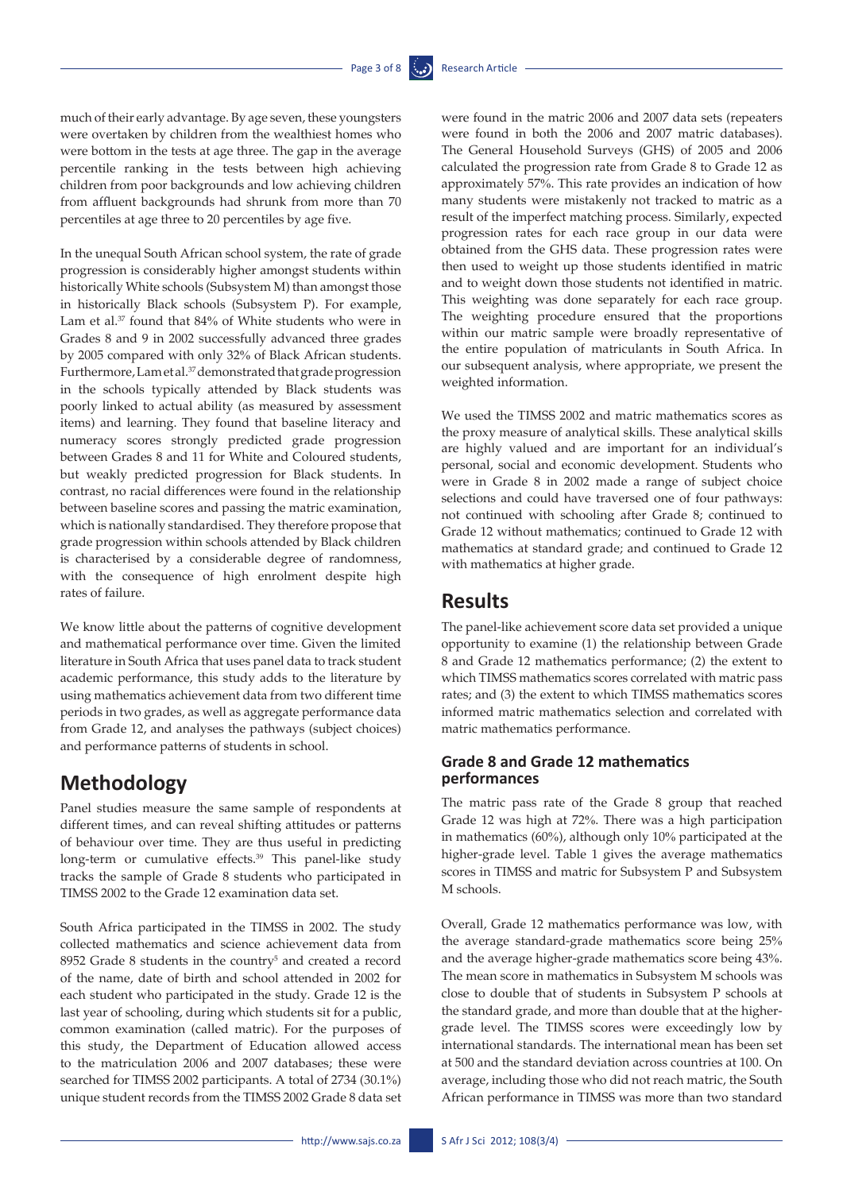much of their early advantage. By age seven, these youngsters were overtaken by children from the wealthiest homes who were bottom in the tests at age three. The gap in the average percentile ranking in the tests between high achieving children from poor backgrounds and low achieving children from affluent backgrounds had shrunk from more than 70 percentiles at age three to 20 percentiles by age five.

In the unequal South African school system, the rate of grade progression is considerably higher amongst students within historically White schools (Subsystem M) than amongst those in historically Black schools (Subsystem P). For example, Lam et al.37 found that 84% of White students who were in Grades 8 and 9 in 2002 successfully advanced three grades by 2005 compared with only 32% of Black African students. Furthermore, Lam et al.37 demonstrated that grade progression in the schools typically attended by Black students was poorly linked to actual ability (as measured by assessment items) and learning. They found that baseline literacy and numeracy scores strongly predicted grade progression between Grades 8 and 11 for White and Coloured students, but weakly predicted progression for Black students. In contrast, no racial differences were found in the relationship between baseline scores and passing the matric examination, which is nationally standardised. They therefore propose that grade progression within schools attended by Black children is characterised by a considerable degree of randomness, with the consequence of high enrolment despite high rates of failure.

We know little about the patterns of cognitive development and mathematical performance over time. Given the limited literature in South Africa that uses panel data to track student academic performance, this study adds to the literature by using mathematics achievement data from two different time periods in two grades, as well as aggregate performance data from Grade 12, and analyses the pathways (subject choices) and performance patterns of students in school.

# **Methodology**

Panel studies measure the same sample of respondents at different times, and can reveal shifting attitudes or patterns of behaviour over time. They are thus useful in predicting long-term or cumulative effects.<sup>39</sup> This panel-like study tracks the sample of Grade 8 students who participated in TIMSS 2002 to the Grade 12 examination data set.

South Africa participated in the TIMSS in 2002. The study collected mathematics and science achievement data from 8952 Grade 8 students in the country<sup>5</sup> and created a record of the name, date of birth and school attended in 2002 for each student who participated in the study. Grade 12 is the last year of schooling, during which students sit for a public, common examination (called matric). For the purposes of this study, the Department of Education allowed access to the matriculation 2006 and 2007 databases; these were searched for TIMSS 2002 participants. A total of 2734 (30.1%) unique student records from the TIMSS 2002 Grade 8 data set

were found in the matric 2006 and 2007 data sets (repeaters were found in both the 2006 and 2007 matric databases). The General Household Surveys (GHS) of 2005 and 2006 calculated the progression rate from Grade 8 to Grade 12 as approximately 57%. This rate provides an indication of how many students were mistakenly not tracked to matric as a result of the imperfect matching process. Similarly, expected progression rates for each race group in our data were obtained from the GHS data. These progression rates were then used to weight up those students identified in matric and to weight down those students not identified in matric. This weighting was done separately for each race group. The weighting procedure ensured that the proportions within our matric sample were broadly representative of the entire population of matriculants in South Africa. In our subsequent analysis, where appropriate, we present the weighted information.

We used the TIMSS 2002 and matric mathematics scores as the proxy measure of analytical skills. These analytical skills are highly valued and are important for an individual's personal, social and economic development. Students who were in Grade 8 in 2002 made a range of subject choice selections and could have traversed one of four pathways: not continued with schooling after Grade 8; continued to Grade 12 without mathematics; continued to Grade 12 with mathematics at standard grade; and continued to Grade 12 with mathematics at higher grade.

### **Results**

The panel-like achievement score data set provided a unique opportunity to examine (1) the relationship between Grade 8 and Grade 12 mathematics performance; (2) the extent to which TIMSS mathematics scores correlated with matric pass rates; and (3) the extent to which TIMSS mathematics scores informed matric mathematics selection and correlated with matric mathematics performance.

#### **Grade 8 and Grade 12 mathematics performances**

The matric pass rate of the Grade 8 group that reached Grade 12 was high at 72%. There was a high participation in mathematics (60%), although only 10% participated at the higher-grade level. Table 1 gives the average mathematics scores in TIMSS and matric for Subsystem P and Subsystem M schools.

Overall, Grade 12 mathematics performance was low, with the average standard-grade mathematics score being 25% and the average higher-grade mathematics score being 43%. The mean score in mathematics in Subsystem M schools was close to double that of students in Subsystem P schools at the standard grade, and more than double that at the highergrade level. The TIMSS scores were exceedingly low by international standards. The international mean has been set at 500 and the standard deviation across countries at 100. On average, including those who did not reach matric, the South African performance in TIMSS was more than two standard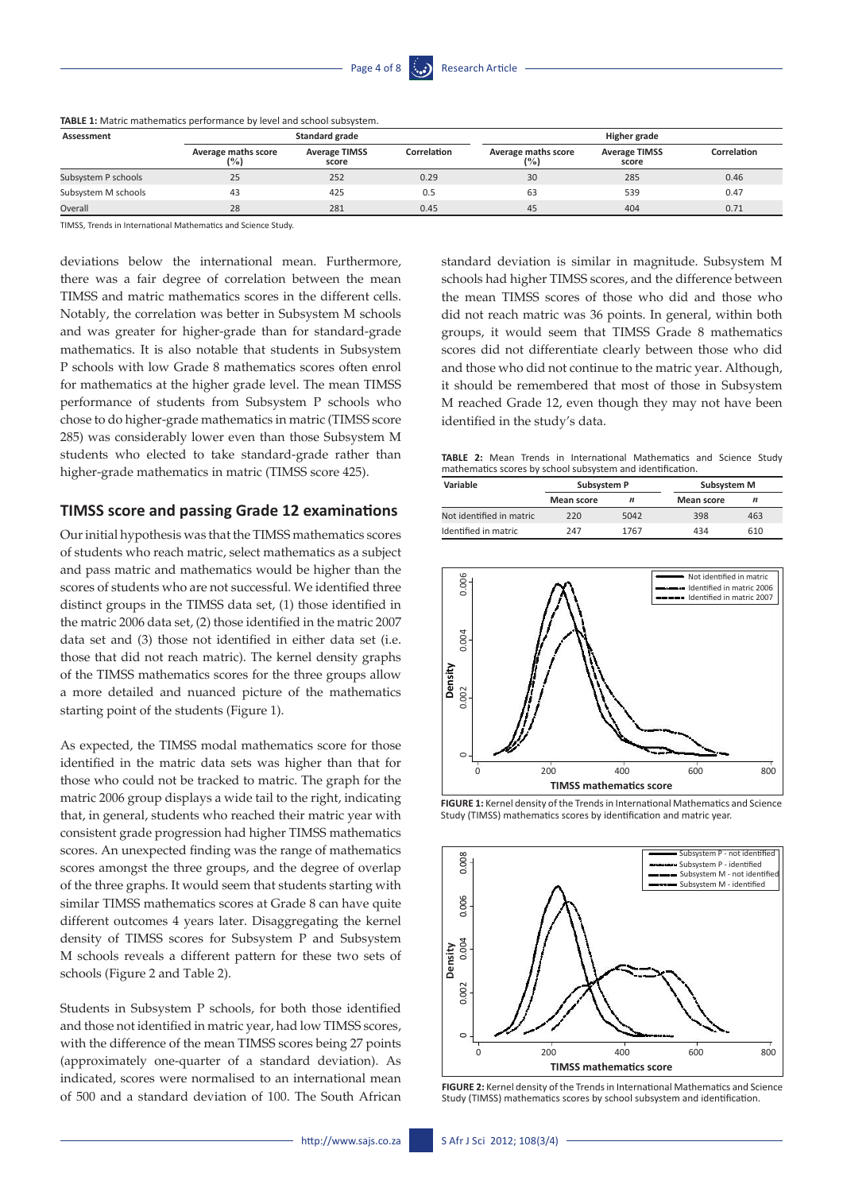| Assessment          |                                     | Standard grade                |             | Higher grade               |                               |             |
|---------------------|-------------------------------------|-------------------------------|-------------|----------------------------|-------------------------------|-------------|
|                     | <b>Average maths score</b><br>(9/0) | <b>Average TIMSS</b><br>score | Correlation | Average maths score<br>(%) | <b>Average TIMSS</b><br>score | Correlation |
| Subsystem P schools | 25                                  | 252                           | 0.29        | 30                         | 285                           | 0.46        |
| Subsystem M schools | 43                                  | 425                           | 0.5         | 63                         | 539                           | 0.47        |
| Overall             | 28                                  | 281                           | 0.45        | 45                         | 404                           | 0.71        |

**TABLE 1:** Matric mathematics performance by level and school subsystem.

TIMSS, Trends in International Mathematics and Science Study.

deviations below the international mean. Furthermore, there was a fair degree of correlation between the mean TIMSS and matric mathematics scores in the different cells. Notably, the correlation was better in Subsystem M schools and was greater for higher-grade than for standard-grade mathematics. It is also notable that students in Subsystem P schools with low Grade 8 mathematics scores often enrol for mathematics at the higher grade level. The mean TIMSS performance of students from Subsystem P schools who chose to do higher-grade mathematics in matric (TIMSS score 285) was considerably lower even than those Subsystem M students who elected to take standard-grade rather than higher-grade mathematics in matric (TIMSS score 425).

#### **TIMSS score and passing Grade 12 examinations**

Our initial hypothesis was that the TIMSS mathematics scores of students who reach matric, select mathematics as a subject and pass matric and mathematics would be higher than the scores of students who are not successful. We identified three distinct groups in the TIMSS data set, (1) those identified in the matric 2006 data set, (2) those identified in the matric 2007 data set and (3) those not identified in either data set (i.e. those that did not reach matric). The kernel density graphs of the TIMSS mathematics scores for the three groups allow a more detailed and nuanced picture of the mathematics starting point of the students (Figure 1).

As expected, the TIMSS modal mathematics score for those identified in the matric data sets was higher than that for those who could not be tracked to matric. The graph for the matric 2006 group displays a wide tail to the right, indicating that, in general, students who reached their matric year with consistent grade progression had higher TIMSS mathematics scores. An unexpected finding was the range of mathematics scores amongst the three groups, and the degree of overlap of the three graphs. It would seem that students starting with similar TIMSS mathematics scores at Grade 8 can have quite different outcomes 4 years later. Disaggregating the kernel density of TIMSS scores for Subsystem P and Subsystem M schools reveals a different pattern for these two sets of schools (Figure 2 and Table 2).

Students in Subsystem P schools, for both those identified and those not identified in matric year, had low TIMSS scores, with the difference of the mean TIMSS scores being 27 points (approximately one-quarter of a standard deviation). As indicated, scores were normalised to an international mean of 500 and a standard deviation of 100. The South African standard deviation is similar in magnitude. Subsystem M schools had higher TIMSS scores, and the difference between the mean TIMSS scores of those who did and those who did not reach matric was 36 points. In general, within both groups, it would seem that TIMSS Grade 8 mathematics scores did not differentiate clearly between those who did and those who did not continue to the matric year. Although, it should be remembered that most of those in Subsystem M reached Grade 12, even though they may not have been identified in the study's data.

**TABLE 2:** Mean Trends in International Mathematics and Science Study mathematics scores by school subsystem and identification.

| Variable                 | Subsystem P |                  | Subsystem M |     |  |
|--------------------------|-------------|------------------|-------------|-----|--|
|                          | Mean score  | $\boldsymbol{n}$ | Mean score  | n   |  |
| Not identified in matric | 220         | 5042             | 398         | 463 |  |
| Identified in matric     | 747         | 1767             | 434         | 610 |  |



**FIGURE 1:** Kernel density of the Trends in International Mathematics and Science Study (TIMSS) mathematics scores by identification and matric year.



**FIGURE 2:** Kernel density of the Trends in International Mathematics and Science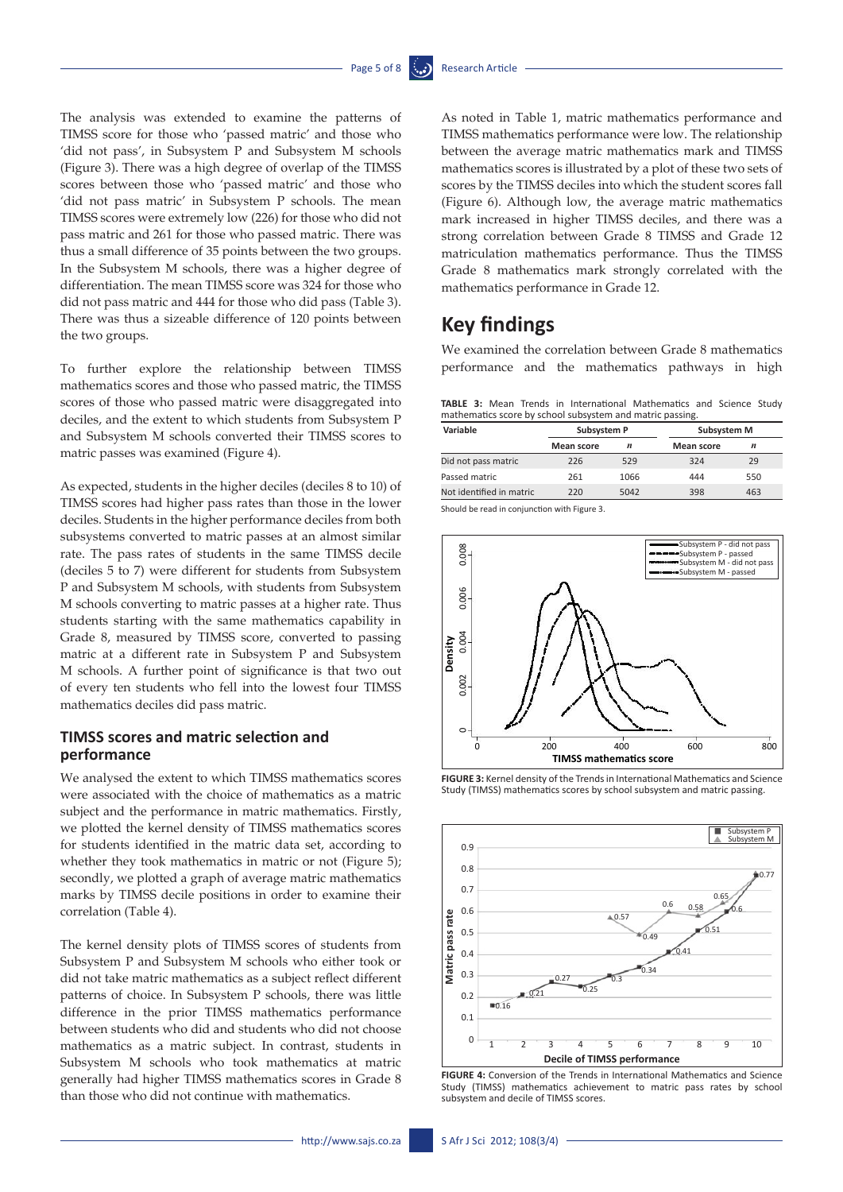The analysis was extended to examine the patterns of TIMSS score for those who 'passed matric' and those who 'did not pass', in Subsystem P and Subsystem M schools (Figure 3). There was a high degree of overlap of the TIMSS scores between those who 'passed matric' and those who 'did not pass matric' in Subsystem P schools. The mean TIMSS scores were extremely low (226) for those who did not pass matric and 261 for those who passed matric. There was thus a small difference of 35 points between the two groups. In the Subsystem M schools, there was a higher degree of differentiation. The mean TIMSS score was 324 for those who did not pass matric and 444 for those who did pass (Table 3). There was thus a sizeable difference of 120 points between the two groups.

To further explore the relationship between TIMSS mathematics scores and those who passed matric, the TIMSS scores of those who passed matric were disaggregated into deciles, and the extent to which students from Subsystem P and Subsystem M schools converted their TIMSS scores to matric passes was examined (Figure 4).

As expected, students in the higher deciles (deciles 8 to 10) of TIMSS scores had higher pass rates than those in the lower deciles. Students in the higher performance deciles from both subsystems converted to matric passes at an almost similar rate. The pass rates of students in the same TIMSS decile (deciles 5 to 7) were different for students from Subsystem P and Subsystem M schools, with students from Subsystem M schools converting to matric passes at a higher rate. Thus students starting with the same mathematics capability in Grade 8, measured by TIMSS score, converted to passing matric at a different rate in Subsystem P and Subsystem M schools. A further point of significance is that two out of every ten students who fell into the lowest four TIMSS mathematics deciles did pass matric.

### **TIMSS scores and matric selection and performance**

We analysed the extent to which TIMSS mathematics scores were associated with the choice of mathematics as a matric subject and the performance in matric mathematics. Firstly, we plotted the kernel density of TIMSS mathematics scores for students identified in the matric data set, according to whether they took mathematics in matric or not (Figure 5); secondly, we plotted a graph of average matric mathematics marks by TIMSS decile positions in order to examine their correlation (Table 4).

The kernel density plots of TIMSS scores of students from Subsystem P and Subsystem M schools who either took or did not take matric mathematics as a subject reflect different patterns of choice. In Subsystem P schools, there was little difference in the prior TIMSS mathematics performance between students who did and students who did not choose mathematics as a matric subject. In contrast, students in Subsystem M schools who took mathematics at matric generally had higher TIMSS mathematics scores in Grade 8 than those who did not continue with mathematics.

As noted in Table 1, matric mathematics performance and TIMSS mathematics performance were low. The relationship between the average matric mathematics mark and TIMSS mathematics scores is illustrated by a plot of these two sets of scores by the TIMSS deciles into which the student scores fall (Figure 6). Although low, the average matric mathematics mark increased in higher TIMSS deciles, and there was a strong correlation between Grade 8 TIMSS and Grade 12 matriculation mathematics performance. Thus the TIMSS Grade 8 mathematics mark strongly correlated with the mathematics performance in Grade 12.

# **Key findings**

We examined the correlation between Grade 8 mathematics performance and the mathematics pathways in high

**TABLE 3:** Mean Trends in International Mathematics and Science Study mathematics score by school subsystem and matric passing.

| Variable                 | Subsystem P       |      |                   | Subsystem M      |  |  |
|--------------------------|-------------------|------|-------------------|------------------|--|--|
|                          | <b>Mean score</b> | n    | <b>Mean score</b> | $\boldsymbol{n}$ |  |  |
| Did not pass matric      | 226               | 529  | 324               | 29               |  |  |
| Passed matric            | 261               | 1066 | 444               | 550              |  |  |
| Not identified in matric | 220               | 5042 | 398               | 463              |  |  |

Should be read in conjunction with Figure 3.



**FIGURE 3:** Kernel density of the Trends in International Mathematics and Science Study (TIMSS) mathematics scores by school subsystem and matric passing.



**FIGURE 4:** Conversion of the Trends in International Mathematics and Science Study (TIMSS) mathematics achievement to matric pass rates by school subsystem and decile of TIMSS scores.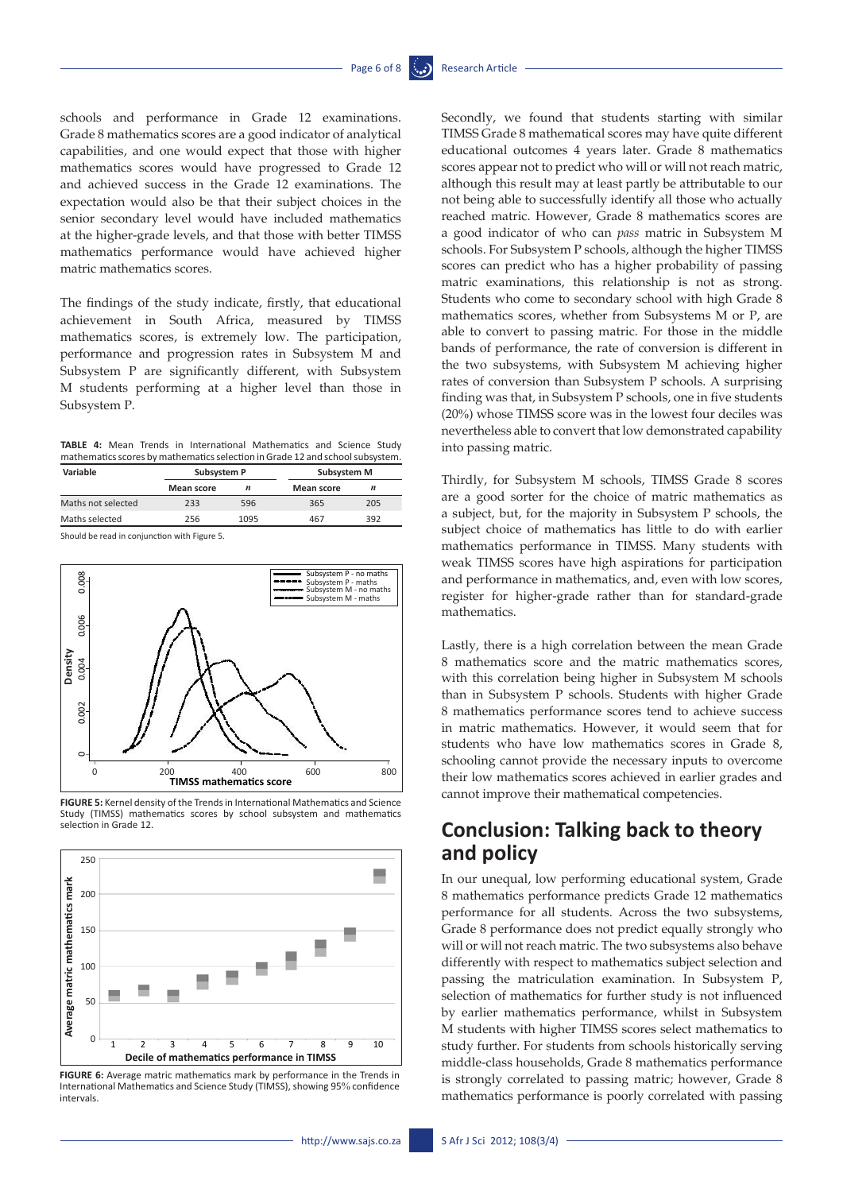schools and performance in Grade 12 examinations. Grade 8 mathematics scores are a good indicator of analytical capabilities, and one would expect that those with higher mathematics scores would have progressed to Grade 12 and achieved success in the Grade 12 examinations. The expectation would also be that their subject choices in the senior secondary level would have included mathematics at the higher-grade levels, and that those with better TIMSS mathematics performance would have achieved higher matric mathematics scores.

The findings of the study indicate, firstly, that educational achievement in South Africa, measured by TIMSS mathematics scores, is extremely low. The participation, performance and progression rates in Subsystem M and Subsystem P are significantly different, with Subsystem M students performing at a higher level than those in Subsystem P.

|  |  |  | <b>TABLE 4:</b> Mean Trends in International Mathematics and Science Study    |  |  |
|--|--|--|-------------------------------------------------------------------------------|--|--|
|  |  |  | mathematics scores by mathematics selection in Grade 12 and school subsystem. |  |  |

| Variable           | Subsystem P       |                  | Subsystem M       |     |  |
|--------------------|-------------------|------------------|-------------------|-----|--|
|                    | <b>Mean score</b> | $\boldsymbol{n}$ | <b>Mean score</b> |     |  |
| Maths not selected | 233               | 596              | 365               | 205 |  |
| Maths selected     | 256               | 1095             | 467               | 392 |  |

Should be read in conjunction with Figure 5.



**FIGURE 5:** Kernel density of the Trends in International Mathematics and Science Study (TIMSS) mathematics scores by school subsystem and mathematics selection in Grade 12.



**FIGURE 6:** Average matric mathematics mark by performance in the Trends in International Mathematics and Science Study (TIMSS), showing 95% confidence intervals.

Secondly, we found that students starting with similar TIMSS Grade 8 mathematical scores may have quite different educational outcomes 4 years later. Grade 8 mathematics scores appear not to predict who will or will not reach matric, although this result may at least partly be attributable to our not being able to successfully identify all those who actually reached matric. However, Grade 8 mathematics scores are a good indicator of who can *pass* matric in Subsystem M schools. For Subsystem P schools, although the higher TIMSS scores can predict who has a higher probability of passing matric examinations, this relationship is not as strong. Students who come to secondary school with high Grade 8 mathematics scores, whether from Subsystems M or P, are able to convert to passing matric. For those in the middle bands of performance, the rate of conversion is different in the two subsystems, with Subsystem M achieving higher rates of conversion than Subsystem P schools. A surprising finding was that, in Subsystem P schools, one in five students (20%) whose TIMSS score was in the lowest four deciles was nevertheless able to convert that low demonstrated capability into passing matric.

Thirdly, for Subsystem M schools, TIMSS Grade 8 scores are a good sorter for the choice of matric mathematics as a subject, but, for the majority in Subsystem P schools, the subject choice of mathematics has little to do with earlier mathematics performance in TIMSS. Many students with weak TIMSS scores have high aspirations for participation and performance in mathematics, and, even with low scores, register for higher-grade rather than for standard-grade mathematics.

Lastly, there is a high correlation between the mean Grade 8 mathematics score and the matric mathematics scores, with this correlation being higher in Subsystem M schools than in Subsystem P schools. Students with higher Grade 8 mathematics performance scores tend to achieve success in matric mathematics. However, it would seem that for students who have low mathematics scores in Grade 8, schooling cannot provide the necessary inputs to overcome their low mathematics scores achieved in earlier grades and cannot improve their mathematical competencies.

# **Conclusion: Talking back to theory and policy**

In our unequal, low performing educational system, Grade 8 mathematics performance predicts Grade 12 mathematics performance for all students. Across the two subsystems, Grade 8 performance does not predict equally strongly who will or will not reach matric. The two subsystems also behave differently with respect to mathematics subject selection and passing the matriculation examination. In Subsystem P, selection of mathematics for further study is not influenced by earlier mathematics performance, whilst in Subsystem M students with higher TIMSS scores select mathematics to study further. For students from schools historically serving middle-class households, Grade 8 mathematics performance is strongly correlated to passing matric; however, Grade 8 mathematics performance is poorly correlated with passing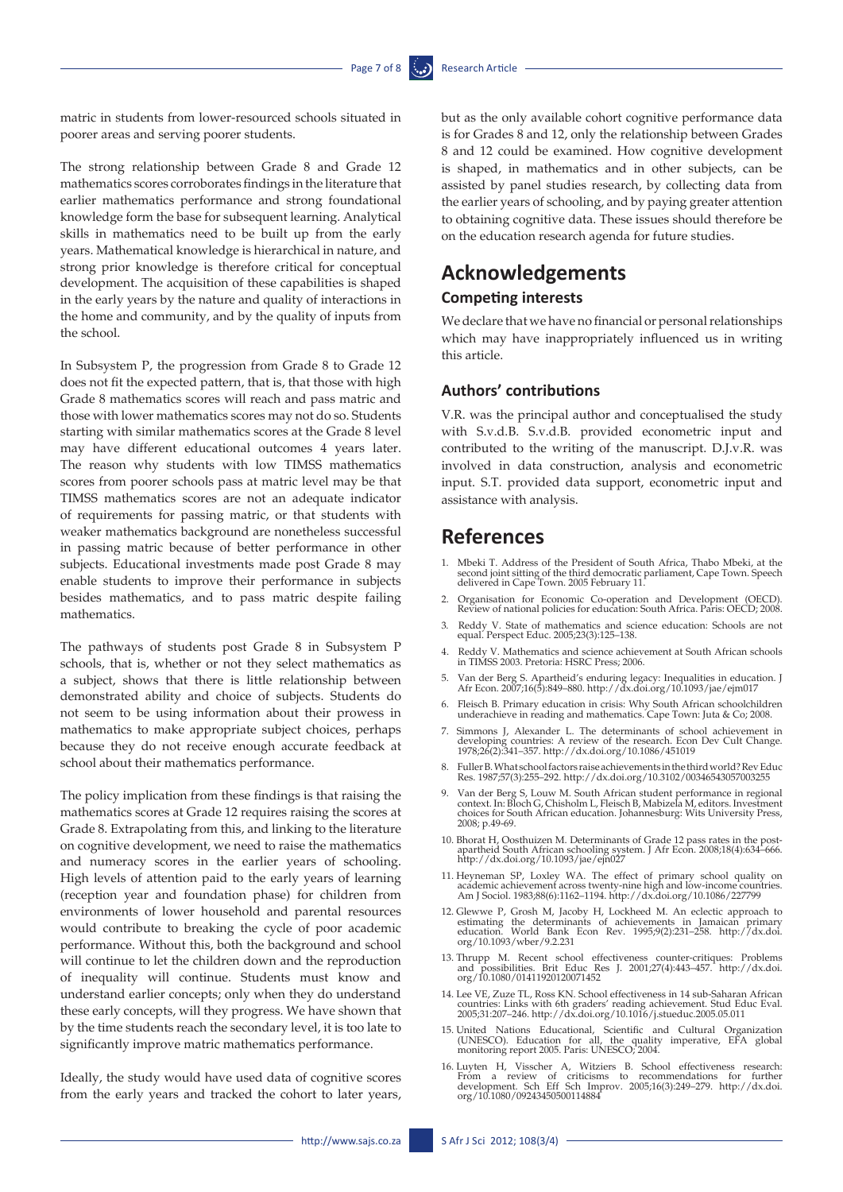matric in students from lower-resourced schools situated in poorer areas and serving poorer students.

The strong relationship between Grade 8 and Grade 12 mathematics scores corroborates findings in the literature that earlier mathematics performance and strong foundational knowledge form the base for subsequent learning. Analytical skills in mathematics need to be built up from the early years. Mathematical knowledge is hierarchical in nature, and strong prior knowledge is therefore critical for conceptual development. The acquisition of these capabilities is shaped in the early years by the nature and quality of interactions in the home and community, and by the quality of inputs from the school.

In Subsystem P, the progression from Grade 8 to Grade 12 does not fit the expected pattern, that is, that those with high Grade 8 mathematics scores will reach and pass matric and those with lower mathematics scores may not do so. Students starting with similar mathematics scores at the Grade 8 level may have different educational outcomes 4 years later. The reason why students with low TIMSS mathematics scores from poorer schools pass at matric level may be that TIMSS mathematics scores are not an adequate indicator of requirements for passing matric, or that students with weaker mathematics background are nonetheless successful in passing matric because of better performance in other subjects. Educational investments made post Grade 8 may enable students to improve their performance in subjects besides mathematics, and to pass matric despite failing mathematics.

The pathways of students post Grade 8 in Subsystem P schools, that is, whether or not they select mathematics as a subject, shows that there is little relationship between demonstrated ability and choice of subjects. Students do not seem to be using information about their prowess in mathematics to make appropriate subject choices, perhaps because they do not receive enough accurate feedback at school about their mathematics performance.

The policy implication from these findings is that raising the mathematics scores at Grade 12 requires raising the scores at Grade 8. Extrapolating from this, and linking to the literature on cognitive development, we need to raise the mathematics and numeracy scores in the earlier years of schooling. High levels of attention paid to the early years of learning (reception year and foundation phase) for children from environments of lower household and parental resources would contribute to breaking the cycle of poor academic performance. Without this, both the background and school will continue to let the children down and the reproduction of inequality will continue. Students must know and understand earlier concepts; only when they do understand these early concepts, will they progress. We have shown that by the time students reach the secondary level, it is too late to significantly improve matric mathematics performance.

Ideally, the study would have used data of cognitive scores from the early years and tracked the cohort to later years,

but as the only available cohort cognitive performance data is for Grades 8 and 12, only the relationship between Grades 8 and 12 could be examined. How cognitive development is shaped, in mathematics and in other subjects, can be assisted by panel studies research, by collecting data from the earlier years of schooling, and by paying greater attention to obtaining cognitive data. These issues should therefore be on the education research agenda for future studies.

# **Acknowledgements Competing interests**

We declare that we have no financial or personal relationships which may have inappropriately influenced us in writing this article.

#### **Authors' contributions**

V.R. was the principal author and conceptualised the study with S.v.d.B. S.v.d.B. provided econometric input and contributed to the writing of the manuscript. D.J.v.R. was involved in data construction, analysis and econometric input. S.T. provided data support, econometric input and assistance with analysis.

### **References**

- 1. Mbeki T. Address of the President of South Africa, Thabo Mbeki, at the second joint sitting of the third democratic parliament, Cape Town. Speech delivered in Cape Town. 2005 February 11.
- 2. Organisation for Economic Co-operation and Development (OECD). Review of national policies for education: South Africa. Paris: OECD; 2008.
- 3. Reddy V. State of mathematics and science education: Schools are not equal. Perspect Educ. 2005;23(3):125–138.
- 4. Reddy V. Mathematics and science achievement at South African schools in TIMSS 2003. Pretoria: HSRC Press; 2006.
- 5. Van der Berg S. Apartheid's enduring legacy: Inequalities in education. J Afr Econ. 2007;16(5):849–880. <http://dx.doi.org/10.1093/jae/ejm017>
- 6. Fleisch B. Primary education in crisis: Why South African schoolchildren underachieve in reading and mathematics. Cape Town: Juta & Co; 2008.
- 7. Simmons J, Alexander L. The determinants of school achievement in developing countries: A review of the research. Econ Dev Cult Change. 1978;26(2):341–357. <http://dx.doi.org/10.1086/451019>
- 8. Fuller B. What school factors raise achievements in the third world? Rev Educ Res. 1987;57(3):255–292.<http://dx.doi.org/10.3102/00346543057003255>
- 9. Van der Berg S, Louw M. South African student performance in regional context. In: Bloch G, Chisholm L, Fleisch B, Mabizela M, editors. Investment<br>choices for South African education. Johannesburg: Wits University Press 2008; p.49-69.
- 10. Bhorat H, Oosthuizen M. Determinants of Grade 12 pass rates in the postapartheid South African schooling system. J Afr Econ. 2008;18(4):634–666. <http://dx.doi.org/10.1093/jae/ejn027>
- 11. Heyneman SP, Loxley WA. The effect of primary school quality on academic achievement across twenty-nine high and low-income countries.<br>Am J Sociol. 1983;88(6):1162–1194.<http://dx.doi.org/10.1086/227799>
- 12. Glewwe P, Grosh M, Jacoby H, Lockheed M. An eclectic approach to estimating the determinants of achievements in Jamaican primary education. World Bank Econ Rev. 1995;9(2):231–258. [http://dx.doi.](http://dx.doi.org/10.1093/wber/9.2.231) org/10.1093/wber/9.2.23
- 13. Thrupp M. Recent school effectiveness counter-critiques: Problems and possibilities. Brit Educ Res J. 2001;27(4):443–457. [http://dx.doi.](http://dx.doi.org/10.1080/01411920120071452) [org/10.1080/01411920120071452](http://dx.doi.org/10.1080/01411920120071452)
- 14. Lee VE, Zuze TL, Ross KN. School effectiveness in 14 sub-Saharan African countries: Links with 6th graders' reading achievement. Stud Educ Eval. 2005;31:207–246. <http://dx.doi.org/10.1016/j.stueduc.2005.05.011>
- 15. United Nations Educational, Scientific and Cultural Organization (UNESCO). Education for all, the quality imperative, EFA global monitoring report 2005. Paris: UNESCO; 2004.
- 16. Luyten H, Visscher A, Witziers B. School effectiveness research:<br>From a review of criticisms to recommendations for further<br>development. Sch Eff Sch Improv. 2005;16(3):249–279. [http://dx.doi.](http://dx.doi.org/10.1080/09243450500114884)<br>org/10.1080/0924345050011